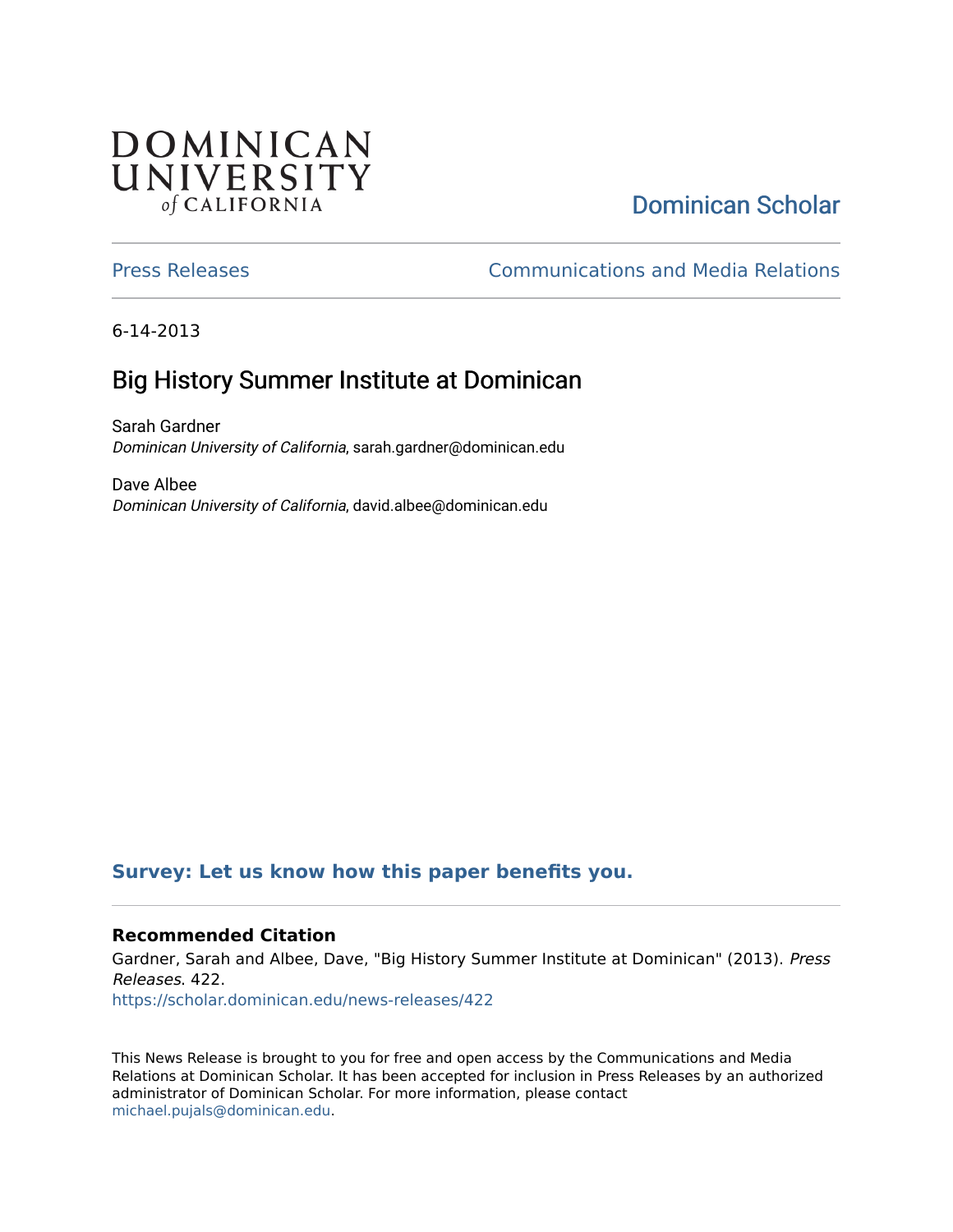## **DOMINICAN** UNIVERSITY of CALIFORNIA

# [Dominican Scholar](https://scholar.dominican.edu/)

[Press Releases](https://scholar.dominican.edu/news-releases) [Communications and Media Relations](https://scholar.dominican.edu/communications-media) 

6-14-2013

# Big History Summer Institute at Dominican

Sarah Gardner Dominican University of California, sarah.gardner@dominican.edu

Dave Albee Dominican University of California, david.albee@dominican.edu

### **[Survey: Let us know how this paper benefits you.](https://dominican.libwizard.com/dominican-scholar-feedback)**

#### **Recommended Citation**

Gardner, Sarah and Albee, Dave, "Big History Summer Institute at Dominican" (2013). Press Releases. 422. [https://scholar.dominican.edu/news-releases/422](https://scholar.dominican.edu/news-releases/422?utm_source=scholar.dominican.edu%2Fnews-releases%2F422&utm_medium=PDF&utm_campaign=PDFCoverPages)

This News Release is brought to you for free and open access by the Communications and Media Relations at Dominican Scholar. It has been accepted for inclusion in Press Releases by an authorized administrator of Dominican Scholar. For more information, please contact [michael.pujals@dominican.edu.](mailto:michael.pujals@dominican.edu)